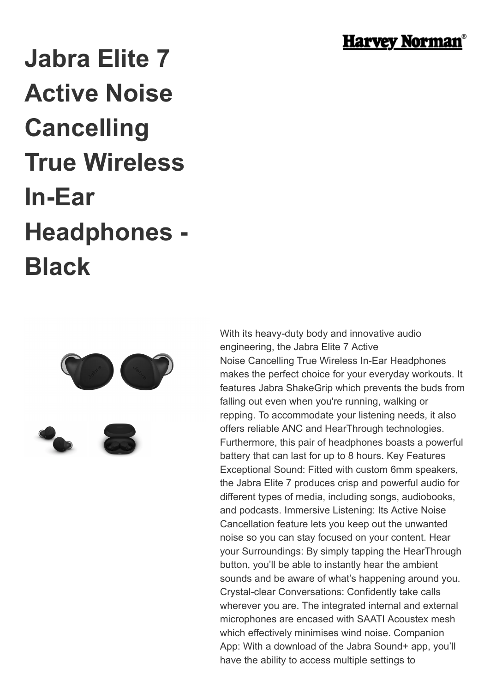

## **Jabra Elite 7 Active Noise Cancelling True Wireless In-Ear Headphones - Black**



With its heavy-duty body and innovative audio engineering, the Jabra Elite 7 Active Noise Cancelling True Wireless In-Ear Headphones makes the perfect choice for your everyday workouts. It features Jabra ShakeGrip which prevents the buds from falling out even when you're running, walking or repping. To accommodate your listening needs, it also offers reliable ANC and HearThrough technologies. Furthermore, this pair of headphones boasts a powerful battery that can last for up to 8 hours. Key Features Exceptional Sound: Fitted with custom 6mm speakers, the Jabra Elite 7 produces crisp and powerful audio for different types of media, including songs, audiobooks, and podcasts. Immersive Listening: Its Active Noise Cancellation feature lets you keep out the unwanted noise so you can stay focused on your content. Hear your Surroundings: By simply tapping the HearThrough button, you'll be able to instantly hear the ambient sounds and be aware of what's happening around you. Crystal-clear Conversations: Confidently take calls wherever you are. The integrated internal and external microphones are encased with SAATI Acoustex mesh which effectively minimises wind noise. Companion App: With a download of the Jabra Sound+ app, you'll have the ability to access multiple settings to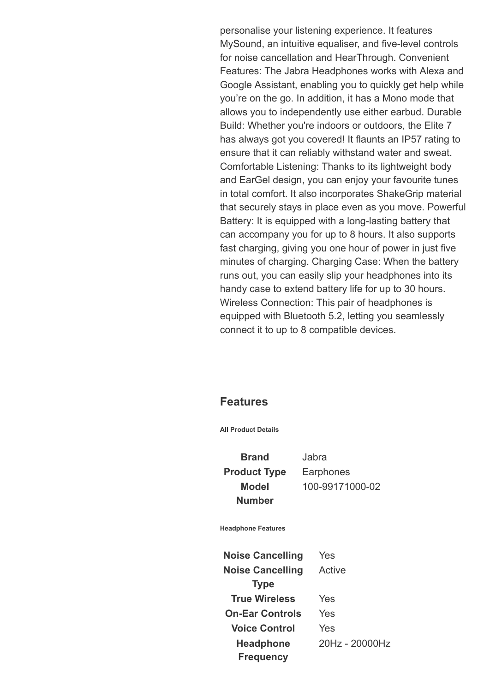personalise your listening experience. It features MySound, an intuitive equaliser, and five-level controls for noise cancellation and HearThrough. Convenient Features: The Jabra Headphones works with Alexa and Google Assistant, enabling you to quickly get help while you're on the go. In addition, it has a Mono mode that allows you to independently use either earbud. Durable Build: Whether you're indoors or outdoors, the Elite 7 has always got you covered! It flaunts an IP57 rating to ensure that it can reliably withstand water and sweat. Comfortable Listening: Thanks to its lightweight body and EarGel design, you can enjoy your favourite tunes in total comfort. It also incorporates ShakeGrip material that securely stays in place even as you move. Powerful Battery: It is equipped with a long-lasting battery that can accompany you for up to 8 hours. It also supports fast charging, giving you one hour of power in just five minutes of charging. Charging Case: When the battery runs out, you can easily slip your headphones into its handy case to extend battery life for up to 30 hours. Wireless Connection: This pair of headphones is equipped with Bluetooth 5.2, letting you seamlessly connect it to up to 8 compatible devices.

## **Features**

**All Product Details**

**Brand** Jabra **Product Type** Earphones **Model Number**

100-99171000-02

**Headphone Features**

**Noise Cancelling** Yes **Noise Cancelling Type** Active **True Wireless** Yes **On-Ear Controls** Yes **Voice Control** Yes **Headphone Frequency** 20Hz - 20000Hz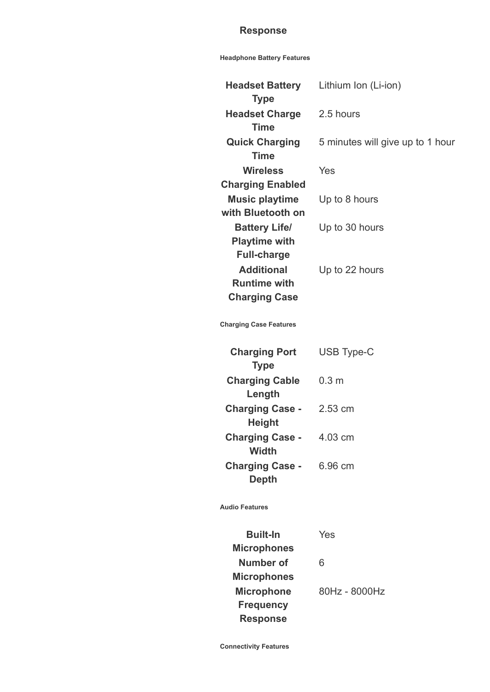## **Response**

## **Headphone Battery Features**

| <b>Headset Battery</b>  | Lithium Ion (Li-ion)             |
|-------------------------|----------------------------------|
| <b>Type</b>             |                                  |
| <b>Headset Charge</b>   | 2.5 hours                        |
| <b>Time</b>             |                                  |
| <b>Quick Charging</b>   | 5 minutes will give up to 1 hour |
| Time                    |                                  |
| Wireless                | Yes                              |
| <b>Charging Enabled</b> |                                  |
| <b>Music playtime</b>   | Up to 8 hours                    |
| with Bluetooth on       |                                  |
| <b>Battery Life/</b>    | Up to 30 hours                   |
| <b>Playtime with</b>    |                                  |
| <b>Full-charge</b>      |                                  |
| <b>Additional</b>       | Up to 22 hours                   |
| <b>Runtime with</b>     |                                  |
| <b>Charging Case</b>    |                                  |

**Charging Case Features**

| <b>Charging Port</b><br><b>Type</b>     | <b>USB Type-C</b> |
|-----------------------------------------|-------------------|
| <b>Charging Cable</b>                   | 0.3 m             |
| Length<br><b>Charging Case -</b>        | 2.53 cm           |
| <b>Height</b><br><b>Charging Case -</b> | 4.03 cm           |
| <b>Width</b>                            |                   |
| <b>Charging Case -</b><br>Depth         | 6.96 cm           |

**Audio Features**

| <b>Built-In</b>    | Yes           |
|--------------------|---------------|
| <b>Microphones</b> |               |
| Number of          | 6             |
| <b>Microphones</b> |               |
| <b>Microphone</b>  | 80Hz - 8000Hz |
| <b>Frequency</b>   |               |
| <b>Response</b>    |               |
|                    |               |

**Connectivity Features**